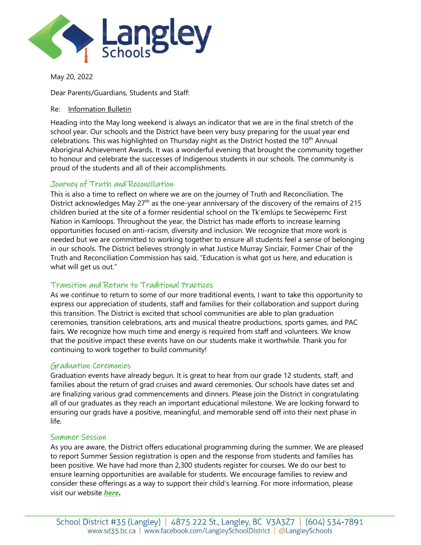

May 20, 2022

Dear Parents/Guardians, Students and Staff:

#### Re: Information Bulletin

Heading into the May long weekend is always an indicator that we are in the final stretch of the school year. Our schools and the District have been very busy preparing for the usual year end celebrations. This was highlighted on Thursday night as the District hosted the 10<sup>th</sup> Annual Aboriginal Achievement Awards. It was a wonderful evening that brought the community together to honour and celebrate the successes of Indigenous students in our schools. The community is proud of the students and all of their accomplishments.

### Journey of Truth and Reconciliation

This is also a time to reflect on where we are on the journey of Truth and Reconciliation. The District acknowledges May  $27<sup>th</sup>$  as the one-year anniversary of the discovery of the remains of 215 children buried at the site of a former residential school on the Tk'emlúps te Secwépemc First Nation in Kamloops. Throughout the year, the District has made efforts to increase learning opportunities focused on anti-racism, diversity and inclusion. We recognize that more work is needed but we are committed to working together to ensure all students feel a sense of belonging in our schools. The District believes strongly in what Justice Murray Sinclair, Former Chair of the Truth and Reconciliation Commission has said, "Education is what got us here, and education is what will get us out."

## Transition and Return to Traditional Practices

As we continue to return to some of our more traditional events, I want to take this opportunity to express our appreciation of students, staff and families for their collaboration and support during this transition. The District is excited that school communities are able to plan graduation ceremonies, transition celebrations, arts and musical theatre productions, sports games, and PAC fairs. We recognize how much time and energy is required from staff and volunteers. We know that the positive impact these events have on our students make it worthwhile. Thank you for continuing to work together to build community!

#### Graduation Ceremonies

Graduation events have already begun. It is great to hear from our grade 12 students, staff, and families about the return of grad cruises and award ceremonies. Our schools have dates set and are finalizing various grad commencements and dinners. Please join the District in congratulating all of our graduates as they reach an important educational milestone. We are looking forward to ensuring our grads have a positive, meaningful, and memorable send off into their next phase in life.

#### Summer Session

As you are aware, the District offers educational programming during the summer. We are pleased to report Summer Session registration is open and the response from students and families has been positive. We have had more than 2,300 students register for courses. We do our best to ensure learning opportunities are available for students. We encourage families to review and consider these offerings as a way to support their child's learning. For more information, please visit our website *[here](https://www.sd35.bc.ca/schools/summer-session/)***.**